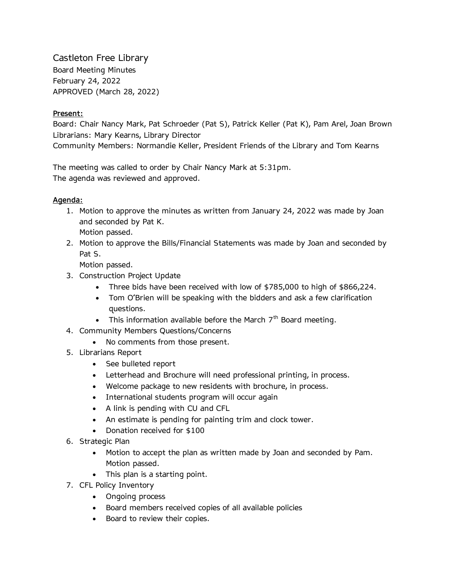Castleton Free Library Board Meeting Minutes February 24, 2022 APPROVED (March 28, 2022)

## **Present:**

Board: Chair Nancy Mark, Pat Schroeder (Pat S), Patrick Keller (Pat K), Pam Arel, Joan Brown Librarians: Mary Kearns, Library Director Community Members: Normandie Keller, President Friends of the Library and Tom Kearns

The meeting was called to order by Chair Nancy Mark at 5:31pm. The agenda was reviewed and approved.

## **Agenda:**

- 1. Motion to approve the minutes as written from January 24, 2022 was made by Joan and seconded by Pat K. Motion passed.
- 2. Motion to approve the Bills/Financial Statements was made by Joan and seconded by Pat S.

Motion passed.

- 3. Construction Project Update
	- Three bids have been received with low of \$785,000 to high of \$866,224.
	- Tom O'Brien will be speaking with the bidders and ask a few clarification questions.
	- This information available before the March  $7<sup>th</sup>$  Board meeting.
- 4. Community Members Questions/Concerns
	- No comments from those present.
- 5. Librarians Report
	- See bulleted report
	- Letterhead and Brochure will need professional printing, in process.
	- Welcome package to new residents with brochure, in process.
	- International students program will occur again
	- A link is pending with CU and CFL
	- An estimate is pending for painting trim and clock tower.
	- Donation received for \$100
- 6. Strategic Plan
	- Motion to accept the plan as written made by Joan and seconded by Pam. Motion passed.
	- This plan is a starting point.
- 7. CFL Policy Inventory
	- Ongoing process
	- Board members received copies of all available policies
	- Board to review their copies.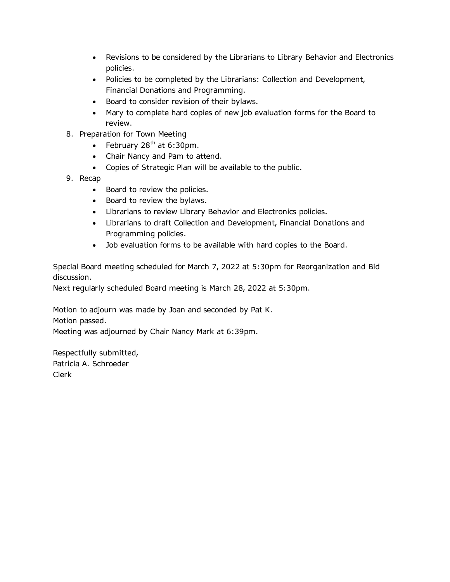- Revisions to be considered by the Librarians to Library Behavior and Electronics policies.
- Policies to be completed by the Librarians: Collection and Development, Financial Donations and Programming.
- Board to consider revision of their bylaws.
- Mary to complete hard copies of new job evaluation forms for the Board to review.
- 8. Preparation for Town Meeting
	- February  $28<sup>th</sup>$  at 6:30pm.
	- Chair Nancy and Pam to attend.
	- Copies of Strategic Plan will be available to the public.
- 9. Recap
	- Board to review the policies.
	- Board to review the bylaws.
	- Librarians to review Library Behavior and Electronics policies.
	- Librarians to draft Collection and Development, Financial Donations and Programming policies.
	- Job evaluation forms to be available with hard copies to the Board.

Special Board meeting scheduled for March 7, 2022 at 5:30pm for Reorganization and Bid discussion.

Next regularly scheduled Board meeting is March 28, 2022 at 5:30pm.

Motion to adjourn was made by Joan and seconded by Pat K. Motion passed.

Meeting was adjourned by Chair Nancy Mark at 6:39pm.

Respectfully submitted, Patricia A. Schroeder Clerk